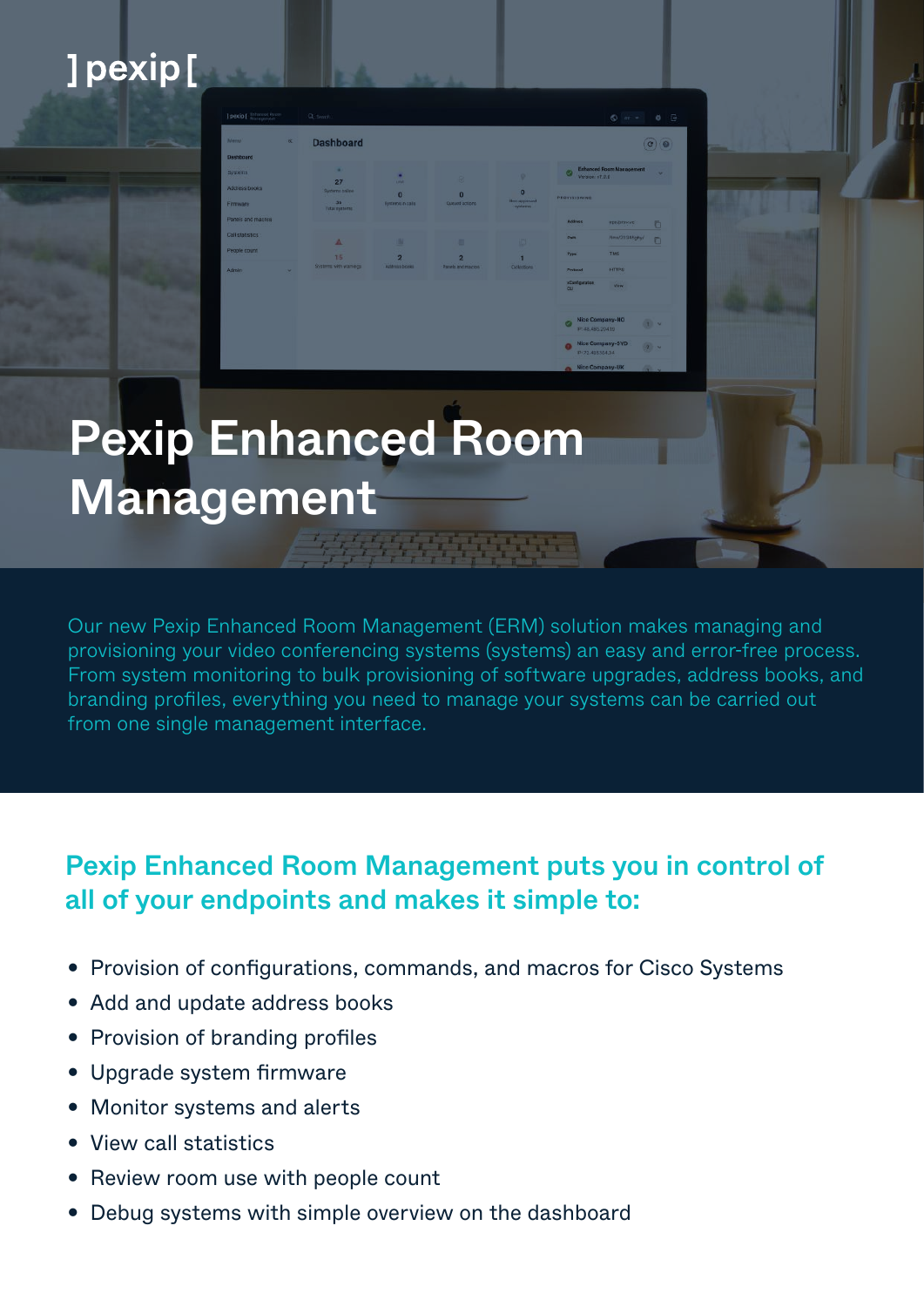## ]pexip[

# Pexip Enhanced Room Management

Dashboard

Our new Pexip Enhanced Room Management (ERM) solution makes managing and provisioning your video conferencing systems (systems) an easy and error-free process. From system monitoring to bulk provisioning of software upgrades, address books, and branding profiles, everything you need to manage your systems can be carried out from one single management interface.

### Pexip Enhanced Room Management puts you in control of all of your endpoints and makes it simple to:

- Provision of configurations, commands, and macros for Cisco Systems
- Add and update address books
- Provision of branding profiles
- Upgrade system firmware
- Monitor systems and alerts
- View call statistics
- Review room use with people count
- Debug systems with simple overview on the dashboard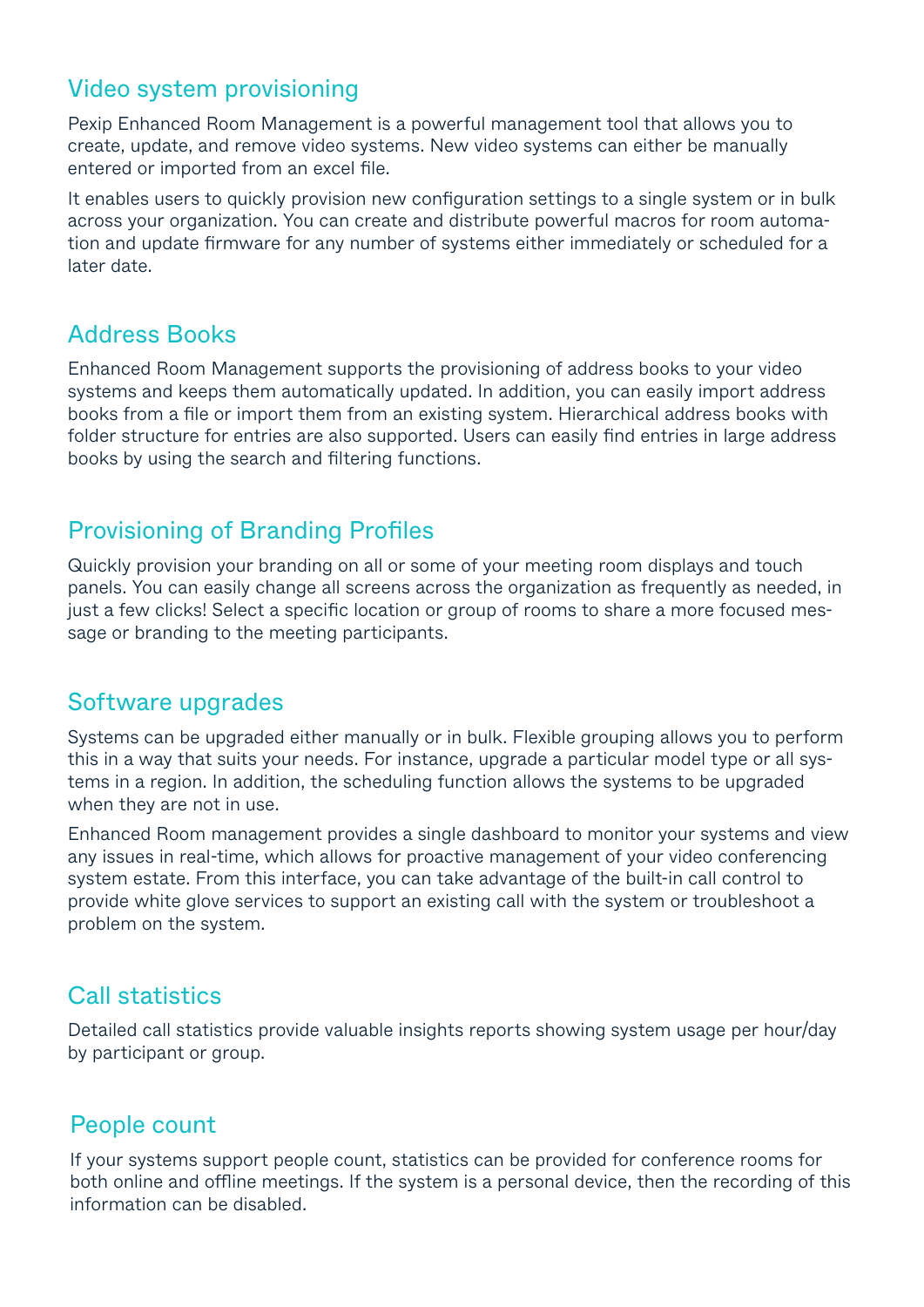#### Video system provisioning

Pexip Enhanced Room Management is a powerful management tool that allows you to create, update, and remove video systems. New video systems can either be manually entered or imported from an excel file.

It enables users to quickly provision new configuration settings to a single system or in bulk across your organization. You can create and distribute powerful macros for room automation and update firmware for any number of systems either immediately or scheduled for a later date.

#### Address Books

Enhanced Room Management supports the provisioning of address books to your video systems and keeps them automatically updated. In addition, you can easily import address books from a file or import them from an existing system. Hierarchical address books with folder structure for entries are also supported. Users can easily find entries in large address books by using the search and filtering functions.

#### Provisioning of Branding Profiles

Quickly provision your branding on all or some of your meeting room displays and touch panels. You can easily change all screens across the organization as frequently as needed, in just a few clicks! Select a specific location or group of rooms to share a more focused message or branding to the meeting participants.

#### Software upgrades

Systems can be upgraded either manually or in bulk. Flexible grouping allows you to perform this in a way that suits your needs. For instance, upgrade a particular model type or all systems in a region. In addition, the scheduling function allows the systems to be upgraded when they are not in use.

Enhanced Room management provides a single dashboard to monitor your systems and view any issues in real-time, which allows for proactive management of your video conferencing system estate. From this interface, you can take advantage of the built-in call control to provide white glove services to support an existing call with the system or troubleshoot a problem on the system.

#### Call statistics

Detailed call statistics provide valuable insights reports showing system usage per hour/day by participant or group.

#### People count

If your systems support people count, statistics can be provided for conference rooms for both online and offline meetings. If the system is a personal device, then the recording of this information can be disabled.